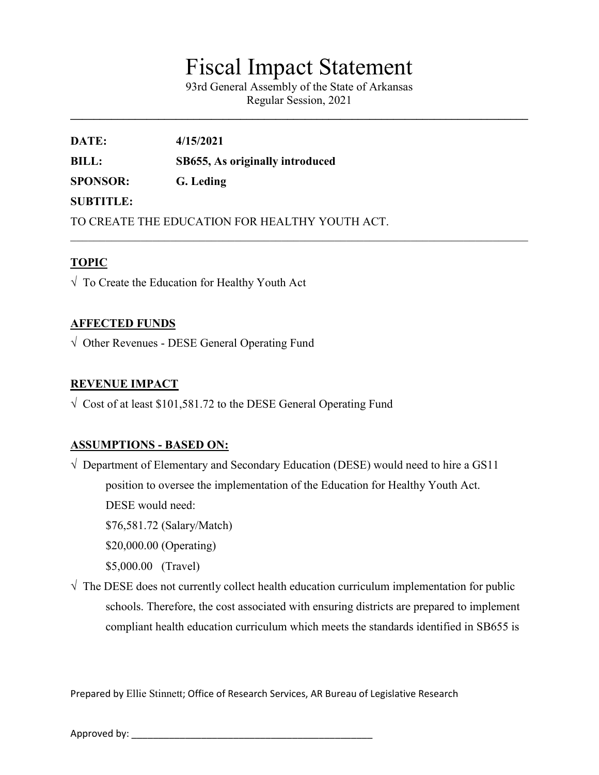# Fiscal Impact Statement

93rd General Assembly of the State of Arkansas Regular Session, 2021

 $\mathcal{L}_\mathcal{L} = \{ \mathcal{L}_\mathcal{L} = \{ \mathcal{L}_\mathcal{L} = \{ \mathcal{L}_\mathcal{L} = \{ \mathcal{L}_\mathcal{L} = \{ \mathcal{L}_\mathcal{L} = \{ \mathcal{L}_\mathcal{L} = \{ \mathcal{L}_\mathcal{L} = \{ \mathcal{L}_\mathcal{L} = \{ \mathcal{L}_\mathcal{L} = \{ \mathcal{L}_\mathcal{L} = \{ \mathcal{L}_\mathcal{L} = \{ \mathcal{L}_\mathcal{L} = \{ \mathcal{L}_\mathcal{L} = \{ \mathcal{L}_\mathcal{$ 

**DATE: 4/15/2021 BILL: SB655, As originally introduced SPONSOR: G. Leding SUBTITLE:** TO CREATE THE EDUCATION FOR HEALTHY YOUTH ACT.

## **TOPIC**

√ To Create the Education for Healthy Youth Act

### **AFFECTED FUNDS**

 $\sqrt{\phantom{a}}$  Other Revenues - DESE General Operating Fund

### **REVENUE IMPACT**

 $\sqrt{\frac{1}{100}}$  Cost of at least \$101,581.72 to the DESE General Operating Fund

#### **ASSUMPTIONS - BASED ON:**

 $\sqrt{ }$  Department of Elementary and Secondary Education (DESE) would need to hire a GS11 position to oversee the implementation of the Education for Healthy Youth Act. DESE would need: \$76,581.72 (Salary/Match)

\$20,000.00 (Operating)

\$5,000.00 (Travel)

 $\sqrt{\ }$  The DESE does not currently collect health education curriculum implementation for public schools. Therefore, the cost associated with ensuring districts are prepared to implement compliant health education curriculum which meets the standards identified in SB655 is

Prepared by Ellie Stinnett; Office of Research Services, AR Bureau of Legislative Research